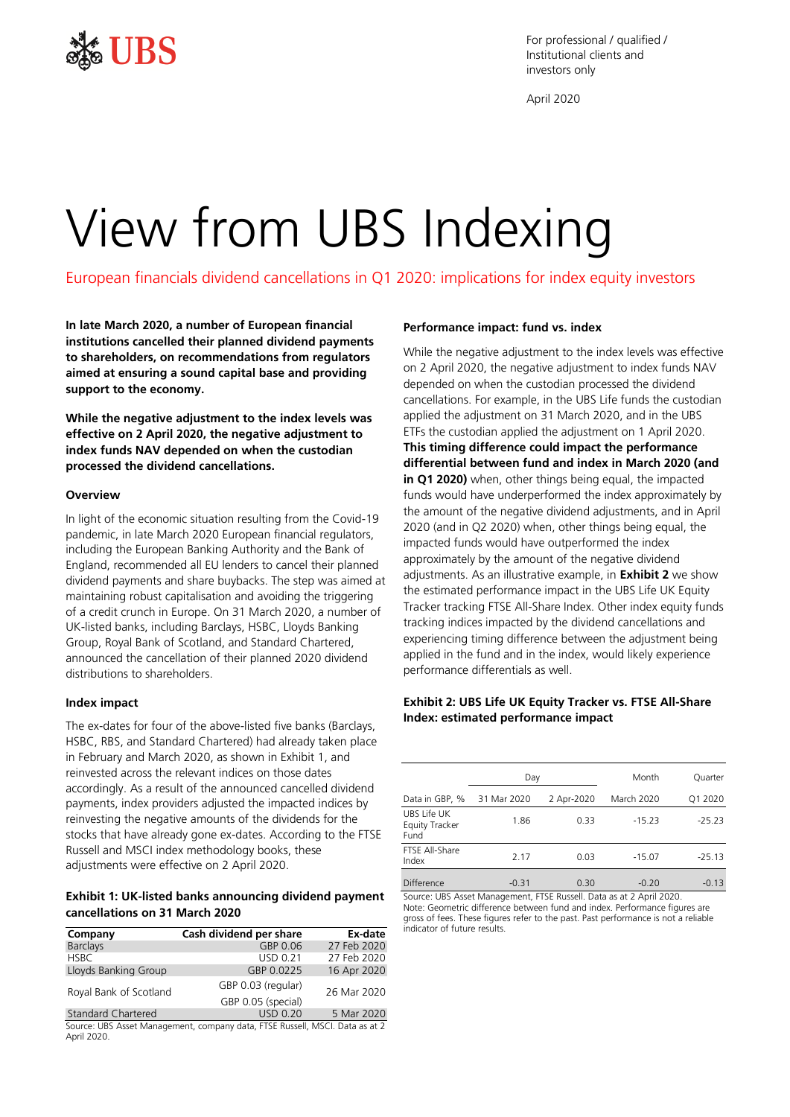

For professional / qualified / Institutional clients and investors only

April 2020

# View from UBS Indexing

European financials dividend cancellations in Q1 2020: implications for index equity investors

**In late March 2020, a number of European financial institutions cancelled their planned dividend payments to shareholders, on recommendations from regulators aimed at ensuring a sound capital base and providing support to the economy.**

**While the negative adjustment to the index levels was effective on 2 April 2020, the negative adjustment to index funds NAV depended on when the custodian processed the dividend cancellations.**

### **Overview**

In light of the economic situation resulting from the Covid-19 pandemic, in late March 2020 European financial regulators, including the European Banking Authority and the Bank of England, recommended all EU lenders to cancel their planned dividend payments and share buybacks. The step was aimed at maintaining robust capitalisation and avoiding the triggering of a credit crunch in Europe. On 31 March 2020, a number of UK-listed banks, including Barclays, HSBC, Lloyds Banking Group, Royal Bank of Scotland, and Standard Chartered, announced the cancellation of their planned 2020 dividend distributions to shareholders.

## **Index impact**

The ex-dates for four of the above-listed five banks (Barclays, HSBC, RBS, and Standard Chartered) had already taken place in February and March 2020, as shown in Exhibit 1, and reinvested across the relevant indices on those dates accordingly. As a result of the announced cancelled dividend payments, index providers adjusted the impacted indices by reinvesting the negative amounts of the dividends for the stocks that have already gone ex-dates. According to the FTSE Russell and MSCI index methodology books, these adjustments were effective on 2 April 2020.

## **Exhibit 1: UK-listed banks announcing dividend payment cancellations on 31 March 2020**

| Company                   | Cash dividend per share                                                      | Ex-date     |
|---------------------------|------------------------------------------------------------------------------|-------------|
| <b>Barclays</b>           | GBP 0.06                                                                     | 27 Feb 2020 |
| <b>HSBC</b>               | <b>USD 0.21</b>                                                              | 27 Feb 2020 |
| Lloyds Banking Group      | GBP 0.0225                                                                   | 16 Apr 2020 |
| Royal Bank of Scotland    | GBP 0.03 (regular)<br>GBP 0.05 (special)                                     | 26 Mar 2020 |
| <b>Standard Chartered</b> | <b>USD 0.20</b>                                                              | 5 Mar 2020  |
|                           | Source: LIRS Asset Management, company data, ETSE Russell, MSCL Data as at 2 |             |

iagement, company data, FTS April 2020.

### **Performance impact: fund vs. index**

While the negative adjustment to the index levels was effective on 2 April 2020, the negative adjustment to index funds NAV depended on when the custodian processed the dividend cancellations. For example, in the UBS Life funds the custodian applied the adjustment on 31 March 2020, and in the UBS ETFs the custodian applied the adjustment on 1 April 2020. **This timing difference could impact the performance differential between fund and index in March 2020 (and in Q1 2020)** when, other things being equal, the impacted funds would have underperformed the index approximately by the amount of the negative dividend adjustments, and in April 2020 (and in Q2 2020) when, other things being equal, the impacted funds would have outperformed the index approximately by the amount of the negative dividend adjustments. As an illustrative example, in **Exhibit 2** we show the estimated performance impact in the UBS Life UK Equity Tracker tracking FTSE All-Share Index. Other index equity funds tracking indices impacted by the dividend cancellations and experiencing timing difference between the adjustment being applied in the fund and in the index, would likely experience performance differentials as well.

## **Exhibit 2: UBS Life UK Equity Tracker vs. FTSE All-Share Index: estimated performance impact**

|                                       | Day         |            | Month             | Quarter  |
|---------------------------------------|-------------|------------|-------------------|----------|
| Data in GBP, %                        | 31 Mar 2020 | 2 Apr-2020 | <b>March 2020</b> | Q1 2020  |
| UBS Life UK<br>Equity Tracker<br>Fund | 1.86        | 0.33       | $-15.23$          | $-25.23$ |
| FTSE All-Share<br>Index               | 2.17        | 0.03       | $-15.07$          | $-25.13$ |
| Difference                            | $-0.31$     | 0.30       | $-0.20$           | $-0.13$  |

Source: UBS Asset Management, FTSE Russell. Data as at 2 April 2020. Note: Geometric difference between fund and index. Performance figures are gross of fees. These figures refer to the past. Past performance is not a reliable indicator of future results.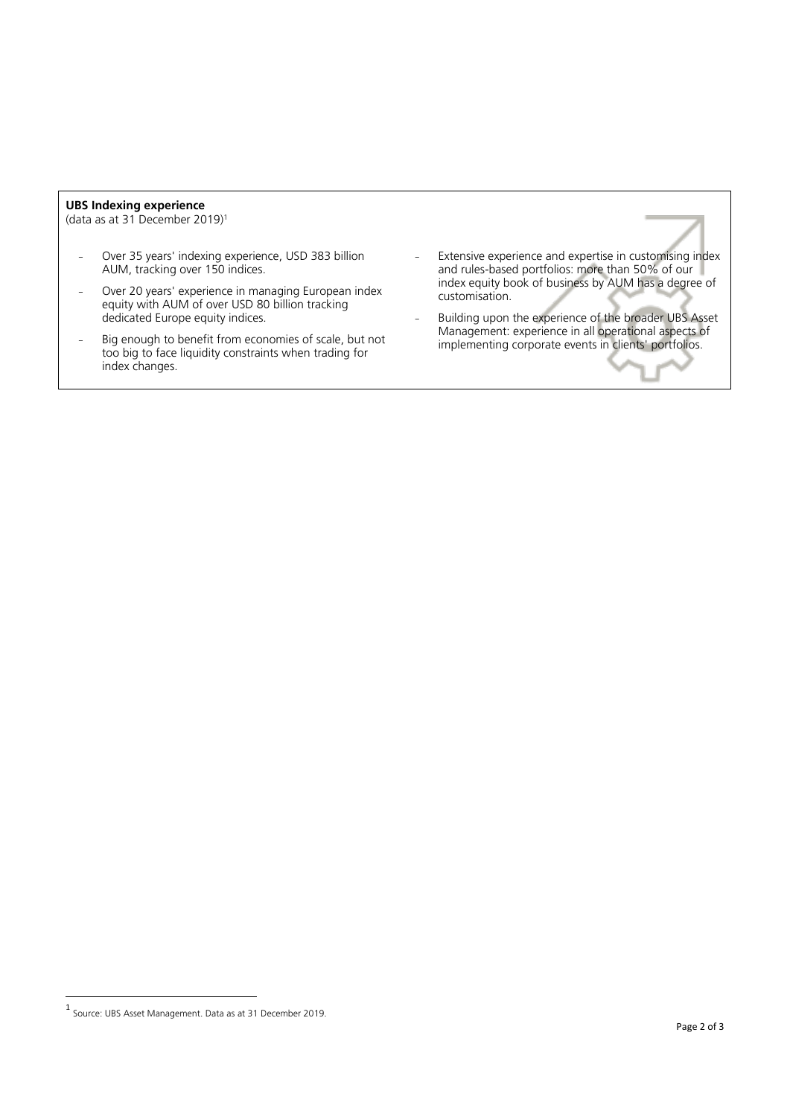## **UBS Indexing experience**

(data as at 31 December 2019)<sup>1</sup>

- Over 35 years' indexing experience, USD 383 billion AUM, tracking over 150 indices.
- Over 20 years' experience in managing European index equity with AUM of over USD 80 billion tracking dedicated Europe equity indices.
- Big enough to benefit from economies of scale, but not too big to face liquidity constraints when trading for index changes.
- Extensive experience and expertise in customising index and rules-based portfolios: more than 50% of our index equity book of business by AUM has a degree of customisation.
- Building upon the experience of the broader UBS Asset Management: experience in all operational aspects of implementing corporate events in clients' portfolios.

 $\overline{\phantom{a}}$ 

<sup>1</sup> Source: UBS Asset Management. Data as at 31 December 2019.